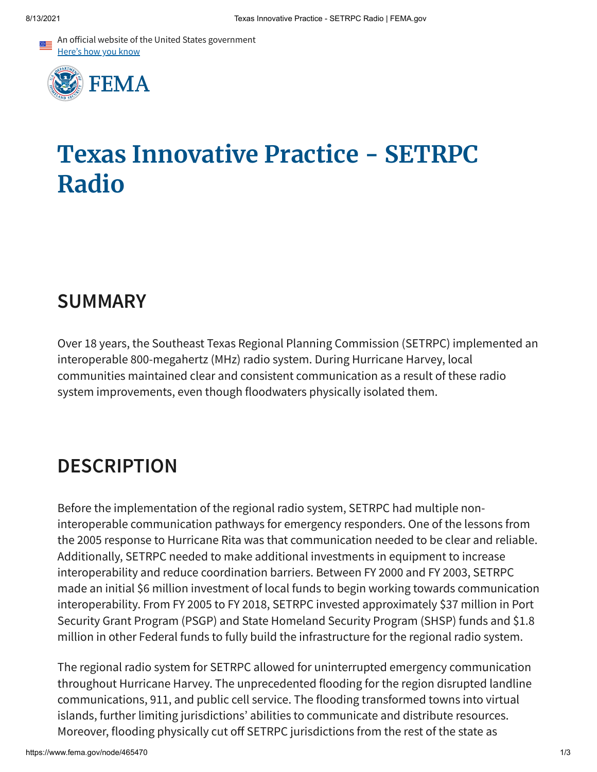An official website of the United States government Here's how you know



## **Texas Innovative Practice - SETRPC Radio**

## **SUMMARY**

Over 18 years, the Southeast Texas Regional Planning Commission (SETRPC) implemented an interoperable 800-megahertz (MHz) radio system. During Hurricane Harvey, local communities maintained clear and consistent communication as a result of these radio system improvements, even though floodwaters physically isolated them.

## **DESCRIPTION**

Before the implementation of the regional radio system, SETRPC had multiple noninteroperable communication pathways for emergency responders. One of the lessons from the 2005 response to Hurricane Rita was that communication needed to be clear and reliable. Additionally, SETRPC needed to make additional investments in equipment to increase interoperability and reduce coordination barriers. Between FY 2000 and FY 2003, SETRPC made an initial \$6 million investment of local funds to begin working towards communication interoperability. From FY 2005 to FY 2018, SETRPC invested approximately \$37 million in Port Security Grant Program (PSGP) and State Homeland Security Program (SHSP) funds and \$1.8 million in other Federal funds to fully build the infrastructure for the regional radio system.

The regional radio system for SETRPC allowed for uninterrupted emergency communication throughout Hurricane Harvey. The unprecedented flooding for the region disrupted landline communications, 911, and public cell service. The flooding transformed towns into virtual islands, further limiting jurisdictions' abilities to communicate and distribute resources. Moreover, flooding physically cut off SETRPC jurisdictions from the rest of the state as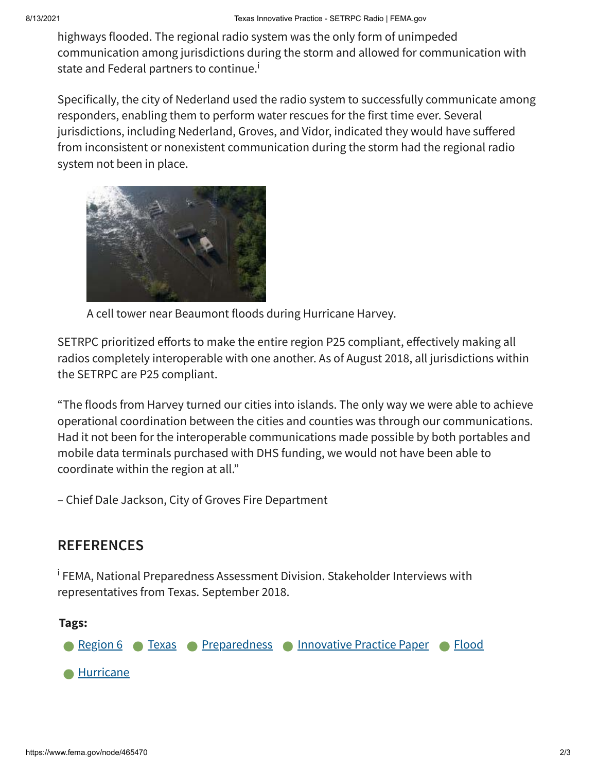highways flooded. The regional radio system was the only form of unimpeded communication among jurisdictions during the storm and allowed for communication with state and Federal partners to continue.<sup>i</sup>

Specifically, the city of Nederland used the radio system to successfully communicate among responders, enabling them to perform water rescues for the first time ever. Several jurisdictions, including Nederland, Groves, and Vidor, indicated they would have suffered from inconsistent or nonexistent communication during the storm had the regional radio system not been in place.



A cell tower near Beaumont floods during Hurricane Harvey.

SETRPC prioritized efforts to make the entire region P25 compliant, effectively making all radios completely interoperable with one another. As of August 2018, all jurisdictions within the SETRPC are P25 compliant.

"The floods from Harvey turned our cities into islands. The only way we were able to achieve operational coordination between the cities and counties was through our communications. Had it not been for the interoperable communications made possible by both portables and mobile data terminals purchased with DHS funding, we would not have been able to coordinate within the region at all."

– Chief Dale Jackson, City of Groves Fire Department

## **REFERENCES**

<sup>i</sup> FEMA, National Preparedness Assessment Division. Stakeholder Interviews with representatives from Texas. September 2018.